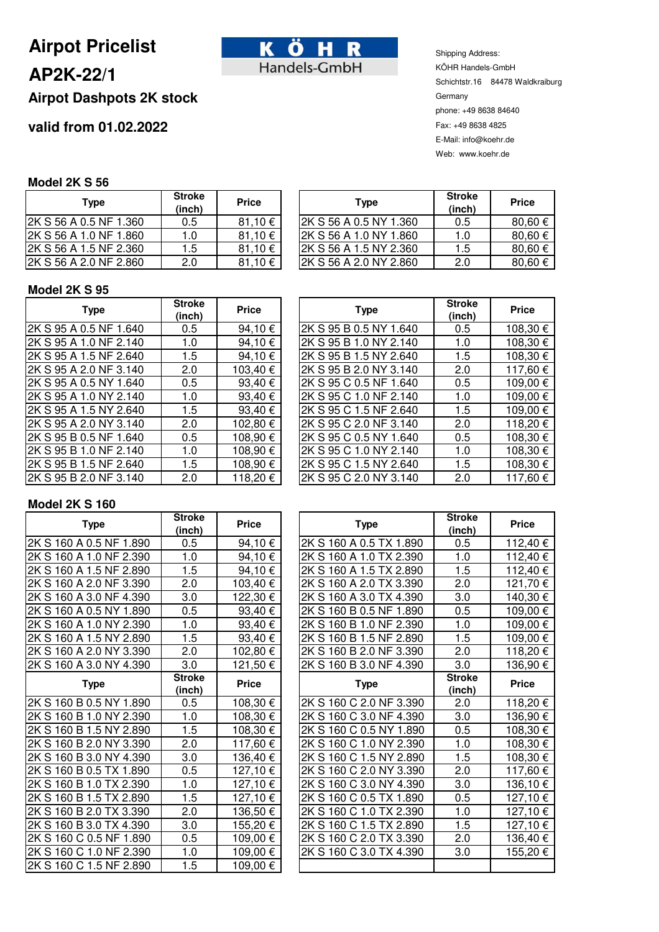# **Airpot Pricelist**

## **AP2K-22/1**

## **Airpot Dashpots 2K stock**

## **valid from 01.02.2022**



Shipping Address: KÖHR Handels-GmbH Schichtstr.16 84478 Waldkraiburg Germany phone: +49 8638 84640 Fax: +49 8638 4825 E-Mail: info@koehr.de Web: www.koehr.de

### **Model 2K S 56**

| <b>Type</b>            | <b>Stroke</b><br>(inch) | <b>Price</b> |
|------------------------|-------------------------|--------------|
| 2K S 56 A 0.5 NF 1.360 | 0.5                     | 81,10€       |
| 2K S 56 A 1.0 NF 1.860 | 1.0                     | 81,10€       |
| 2K S 56 A 1.5 NF 2.360 | 1.5                     | 81,10€       |
| 2K S 56 A 2.0 NF 2.860 | 2.0                     | 81,10€       |

| Type                   | <b>Stroke</b><br>(inch) | <b>Price</b> | Type                   | <b>Stroke</b><br>(inch) | <b>Price</b> |
|------------------------|-------------------------|--------------|------------------------|-------------------------|--------------|
| 2K S 56 A 0.5 NF 1.360 | 0.5                     | 81,10 €      | 2K S 56 A 0.5 NY 1.360 | 0.5                     | 80,60€       |
| 2K S 56 A 1.0 NF 1.860 | 1.0                     | 81,10 €      | 2K S 56 A 1.0 NY 1.860 | 1.0                     | 80,60€       |
| 2K S 56 A 1.5 NF 2.360 | 1.5                     | 81,10 €      | 2K S 56 A 1.5 NY 2.360 | 1.5                     | 80,60 €      |
| 2K S 56 A 2.0 NF 2.860 | 2.0                     | 81,10 €      | 2K S 56 A 2.0 NY 2.860 | 2.0                     | 80,60 €      |

#### **Model 2K S 95**

| <b>Type</b>            | <b>Stroke</b><br>(inch) | <b>Price</b> | <b>Type</b>            | <b>Stroke</b><br>(inch) | <b>Price</b> |
|------------------------|-------------------------|--------------|------------------------|-------------------------|--------------|
| 2K S 95 A 0.5 NF 1.640 | 0.5                     | 94,10 €      | 2K S 95 B 0.5 NY 1.640 | 0.5                     | 108,30€      |
| 2K S 95 A 1.0 NF 2.140 | 1.0                     | 94,10€       | 2K S 95 B 1.0 NY 2.140 | 1.0                     | 108,30€      |
| 2K S 95 A 1.5 NF 2.640 | 1.5                     | 94,10 €      | 2K S 95 B 1.5 NY 2.640 | 1.5                     | 108,30€      |
| 2K S 95 A 2.0 NF 3.140 | 2.0                     | 103,40 €     | 2K S 95 B 2.0 NY 3.140 | 2.0                     | 117,60 €     |
| 2K S 95 A 0.5 NY 1.640 | 0.5                     | 93,40 €      | 2K S 95 C 0.5 NF 1.640 | 0.5                     | 109,00€      |
| 2K S 95 A 1.0 NY 2.140 | 1.0                     | 93,40€       | 2K S 95 C 1.0 NF 2.140 | 1.0                     | 109,00 €     |
| 2K S 95 A 1.5 NY 2.640 | 1.5                     | 93,40€       | 2K S 95 C 1.5 NF 2.640 | 1.5                     | 109,00€      |
| 2K S 95 A 2.0 NY 3.140 | 2.0                     | 102,80 €     | 2K S 95 C 2.0 NF 3.140 | 2.0                     | 118,20€      |
| 2K S 95 B 0.5 NF 1.640 | 0.5                     | 108,90 €     | 2K S 95 C 0.5 NY 1.640 | 0.5                     | 108,30€      |
| 2K S 95 B 1.0 NF 2.140 | 1.0                     | 108,90 €     | 2K S 95 C 1.0 NY 2.140 | 1.0                     | 108,30€      |
| 2K S 95 B 1.5 NF 2.640 | 1.5                     | 108,90 €     | 2K S 95 C 1.5 NY 2.640 | 1.5                     | 108,30€      |
| 2K S 95 B 2.0 NF 3.140 | 2.0                     | 118,20 €     | 2K S 95 C 2.0 NY 3.140 | 2.0                     | 117,60€      |

| <b>Stroke</b><br>(inch) | <b>Price</b> | <b>Type</b>            | <b>Stroke</b><br>(inch) | <b>Price</b> |
|-------------------------|--------------|------------------------|-------------------------|--------------|
| 0.5                     | 94,10 €      | 2K S 95 B 0.5 NY 1.640 | 0.5                     | 108,30 €     |
| 1.0                     | 94,10 €      | 2K S 95 B 1.0 NY 2.140 | 1.0                     | 108,30 €     |
| 1.5                     | 94,10€       | 2K S 95 B 1.5 NY 2.640 | 1.5                     | 108,30 €     |
| 2.0                     | 103,40 €     | 2K S 95 B 2.0 NY 3.140 | 2.0                     | 117,60 €     |
| 0.5                     | 93,40€       | 2K S 95 C 0.5 NF 1.640 | 0.5                     | 109,00 €     |
| 1.0                     | 93,40 €      | 2K S 95 C 1.0 NF 2.140 | 1.0                     | 109,00 €     |
| 1.5                     | 93,40€       | 2K S 95 C 1.5 NF 2.640 | 1.5                     | 109,00 €     |
| 2.0                     | 102,80 €     | 2K S 95 C 2.0 NF 3.140 | 2.0                     | 118,20€      |
| 0.5                     | 108,90 €     | 2K S 95 C 0.5 NY 1.640 | 0.5                     | 108,30 €     |
| 1.0                     | 108,90 €     | 2K S 95 C 1.0 NY 2.140 | 1.0                     | 108,30 €     |
| 1.5                     | 108,90 €     | 2K S 95 C 1.5 NY 2.640 | 1.5                     | 108,30 €     |
| 2.0                     | 118,20€      | 2K S 95 C 2.0 NY 3.140 | 2.0                     | 117,60 €     |

### **Model 2K S 160**

| <b>Type</b>             | <b>Stroke</b><br>(inch) | <b>Price</b> | <b>Type</b>             | <b>Stroke</b><br>(inch) | <b>Price</b> |
|-------------------------|-------------------------|--------------|-------------------------|-------------------------|--------------|
| 2K S 160 A 0.5 NF 1.890 | 0.5                     | 94,10 €      | 2K S 160 A 0.5 TX 1.890 | 0.5                     | 112,40 €     |
| 2K S 160 A 1.0 NF 2.390 | 1.0                     | 94,10 €      | 2K S 160 A 1.0 TX 2.390 | 1.0                     | 112,40 €     |
| 2K S 160 A 1.5 NF 2.890 | 1.5                     | 94,10€       | 2K S 160 A 1.5 TX 2.890 | 1.5                     | 112,40€      |
| 2K S 160 A 2.0 NF 3.390 | 2.0                     | 103,40 €     | 2K S 160 A 2.0 TX 3.390 | 2.0                     | 121,70€      |
| 2K S 160 A 3.0 NF 4.390 | 3.0                     | 122,30 €     | 2K S 160 A 3.0 TX 4.390 | 3.0                     | 140,30 €     |
| 2K S 160 A 0.5 NY 1.890 | 0.5                     | 93,40€       | 2K S 160 B 0.5 NF 1.890 | 0.5                     | 109,00 €     |
| 2K S 160 A 1.0 NY 2.390 | 1.0                     | 93,40€       | 2K S 160 B 1.0 NF 2.390 | 1.0                     | 109,00€      |
| 2K S 160 A 1.5 NY 2.890 | 1.5                     | 93,40€       | 2K S 160 B 1.5 NF 2.890 | 1.5                     | 109,00 €     |
| 2K S 160 A 2.0 NY 3.390 | 2.0                     | 102,80 €     | 2K S 160 B 2.0 NF 3.390 | 2.0                     | 118,20€      |
| 2K S 160 A 3.0 NY 4.390 | 3.0                     | 121,50 €     | 2K S 160 B 3.0 NF 4.390 | 3.0                     | 136,90€      |
| <b>Type</b>             | <b>Stroke</b><br>(inch) | <b>Price</b> | <b>Type</b>             | <b>Stroke</b><br>(inch) | <b>Price</b> |
| 2K S 160 B 0.5 NY 1.890 | 0.5                     | 108,30 €     | 2K S 160 C 2.0 NF 3.390 | 2.0                     | 118,20€      |
| 2K S 160 B 1.0 NY 2.390 | 1.0                     | 108,30 €     | 2K S 160 C 3.0 NF 4.390 | 3.0                     | 136,90 €     |
| 2K S 160 B 1.5 NY 2.890 | 1.5                     | 108,30€      | 2K S 160 C 0.5 NY 1.890 | 0.5                     | 108,30€      |
| 2K S 160 B 2.0 NY 3.390 | 2.0                     | 117,60 €     | 2K S 160 C 1.0 NY 2.390 | 1.0                     | 108,30€      |
| 2K S 160 B 3.0 NY 4.390 | 3.0                     | 136,40 €     | 2K S 160 C 1.5 NY 2.890 | 1.5                     | 108,30€      |
| 2K S 160 B 0.5 TX 1.890 | 0.5                     | 127,10 €     | 2K S 160 C 2.0 NY 3.390 | 2.0                     | 117,60 €     |
| 2K S 160 B 1.0 TX 2.390 | 1.0                     | 127,10 €     | 2K S 160 C 3.0 NY 4.390 | 3.0                     | 136,10€      |
| 2K S 160 B 1.5 TX 2.890 | 1.5                     | 127,10 €     | 2K S 160 C 0.5 TX 1.890 | 0.5                     | 127,10€      |
| 2K S 160 B 2.0 TX 3.390 | 2.0                     | 136,50 €     | 2K S 160 C 1.0 TX 2.390 | 1.0                     | 127,10€      |
| 2K S 160 B 3.0 TX 4.390 | 3.0                     | 155,20 €     | 2K S 160 C 1.5 TX 2.890 | 1.5                     | 127,10€      |
| 2K S 160 C 0.5 NF 1.890 | 0.5                     | 109,00 €     | 2K S 160 C 2.0 TX 3.390 | 2.0                     | 136,40€      |
| 2K S 160 C 1.0 NF 2.390 | 1.0                     | 109,00 €     | 2K S 160 C 3.0 TX 4.390 | 3.0                     | 155,20€      |
| 2K S 160 C 1.5 NF 2.890 | 1.5                     | 109,00 €     |                         |                         |              |

| Stroke<br>(inch) | <b>Price</b> | <b>Type</b>             | <b>Stroke</b><br>(inch) | <b>Price</b> |
|------------------|--------------|-------------------------|-------------------------|--------------|
| 0.5              | 94,10€       | 2K S 160 A 0.5 TX 1.890 | 0.5                     | 112,40 €     |
| 1.0              | 94,10€       | 2K S 160 A 1.0 TX 2.390 | 1.0                     | 112,40 €     |
| 1.5              | 94,10€       | 2K S 160 A 1.5 TX 2.890 | 1.5                     | 112,40 €     |
| 2.0              | 103,40 €     | 2K S 160 A 2.0 TX 3.390 | 2.0                     | 121,70 €     |
| 3.0              | 122,30 €     | 2K S 160 A 3.0 TX 4.390 | 3.0                     | 140,30 €     |
| 0.5              | 93,40€       | 2K S 160 B 0.5 NF 1.890 | 0.5                     | 109,00 €     |
| 1.0              | 93,40 €      | 2K S 160 B 1.0 NF 2.390 | 1.0                     | 109,00 €     |
| 1.5              | 93,40 €      | 2K S 160 B 1.5 NF 2.890 | 1.5                     | 109,00 €     |
| 2.0              | 102,80 €     | 2K S 160 B 2.0 NF 3.390 | 2.0                     | 118,20 €     |
| 3.0              | 121,50 €     | 2K S 160 B 3.0 NF 4.390 | 3.0                     | 136,90 €     |
| Stroke<br>(inch) | <b>Price</b> | <b>Type</b>             | <b>Stroke</b><br>(inch) | <b>Price</b> |
| 0.5              | 108,30 €     | 2K S 160 C 2.0 NF 3.390 | 2.0                     | 118,20 €     |
| 1.0              | 108,30 €     | 2K S 160 C 3.0 NF 4.390 | 3.0                     | 136,90 €     |
| 1.5              | 108,30 €     | 2K S 160 C 0.5 NY 1.890 | 0.5                     | 108,30 €     |
| 2.0              | 117,60 €     | 2K S 160 C 1.0 NY 2.390 | 1.0                     | 108,30 €     |
| 3.0              | 136,40 €     | 2K S 160 C 1.5 NY 2.890 | 1.5                     | 108,30 €     |
| 0.5              | 127,10€      | 2K S 160 C 2.0 NY 3.390 | 2.0                     | 117,60 €     |
| 1.0              | 127,10 €     | 2K S 160 C 3.0 NY 4.390 | 3.0                     | 136,10 €     |
| 1.5              | 127,10 €     | 2K S 160 C 0.5 TX 1.890 | 0.5                     | 127,10 €     |
| 2.0              | 136,50 €     | 2K S 160 C 1.0 TX 2.390 | 1.0                     | 127,10 €     |
| 3.0              | 155,20 €     | 2K S 160 C 1.5 TX 2.890 | 1.5                     | 127,10 €     |
| 0.5              | 109,00 €     | 2K S 160 C 2.0 TX 3.390 | 2.0                     | 136,40 €     |
| 1.0              | 109,00 €     | 2K S 160 C 3.0 TX 4.390 | 3.0                     | 155,20 €     |
| 1.5              | 109.00 €     |                         |                         |              |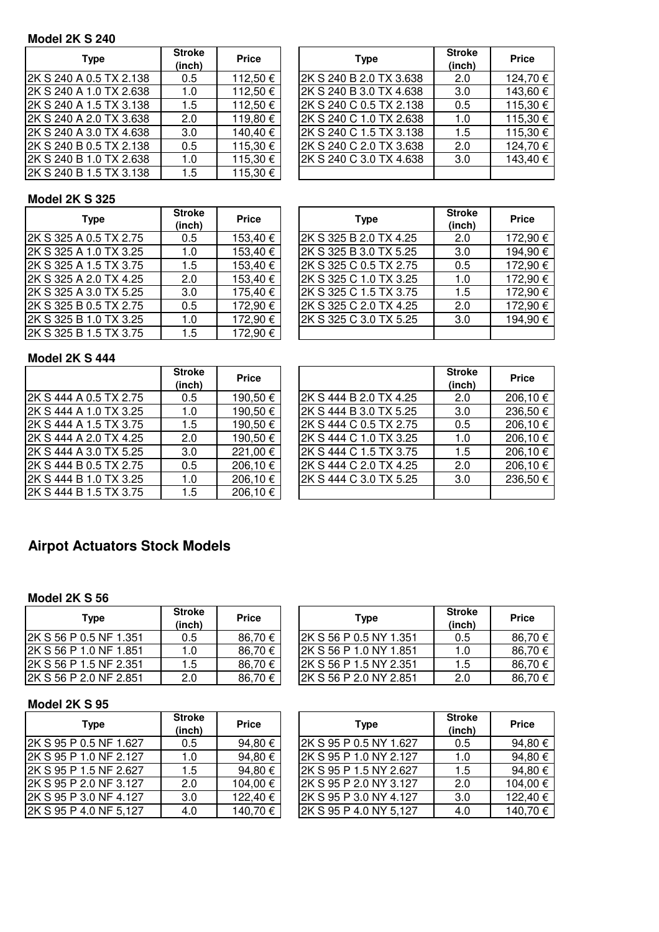## **Model 2K S 240**

| Type                    | <b>Stroke</b><br>(inch) | <b>Price</b> | <b>Type</b>             | <b>Stroke</b><br>(inch) | <b>Price</b> |
|-------------------------|-------------------------|--------------|-------------------------|-------------------------|--------------|
| 2K S 240 A 0.5 TX 2.138 | 0.5                     | 112,50 €     | 2K S 240 B 2.0 TX 3.638 | 2.0                     | 124,70€      |
| 2K S 240 A 1.0 TX 2.638 | 1.0                     | 112,50 €     | 2K S 240 B 3.0 TX 4.638 | 3.0                     | 143,60€      |
| 2K S 240 A 1.5 TX 3.138 | 1.5                     | 112,50 €     | 2K S 240 C 0.5 TX 2.138 | 0.5                     | 115,30 €     |
| 2K S 240 A 2.0 TX 3.638 | 2.0                     | 119,80 €     | 2K S 240 C 1.0 TX 2.638 | 1.0                     | 115,30€      |
| 2K S 240 A 3.0 TX 4.638 | 3.0                     | 140,40 €     | 2K S 240 C 1.5 TX 3.138 | 1.5                     | 115,30€      |
| 2K S 240 B 0.5 TX 2.138 | 0.5                     | 115,30 €     | 2K S 240 C 2.0 TX 3.638 | 2.0                     | 124,70€      |
| 2K S 240 B 1.0 TX 2.638 | 1.0                     | 115,30 €     | 2K S 240 C 3.0 TX 4.638 | 3.0                     | 143,40 €     |
| 2K S 240 B 1.5 TX 3.138 | 1.5                     | 115,30 €     |                         |                         |              |

| <b>Stroke</b><br>(inch) | <b>Price</b> | <b>Type</b>             | <b>Stroke</b><br>(inch) | <b>Price</b> |
|-------------------------|--------------|-------------------------|-------------------------|--------------|
| 0.5                     | 112,50 €     | 2K S 240 B 2.0 TX 3.638 | 2.0                     | 124,70 €     |
| 1.0                     | 112,50 €     | 2K S 240 B 3.0 TX 4.638 | 3.0                     | 143,60 €     |
| 1.5                     | 112,50 €     | 2K S 240 C 0.5 TX 2.138 | 0.5                     | 115,30 €     |
| 2.0                     | 119,80 €     | 2K S 240 C 1.0 TX 2.638 | 1.0                     | 115,30 €     |
| 3.0                     | 140,40 €     | 2K S 240 C 1.5 TX 3.138 | 1.5                     | 115,30 €     |
| 0.5                     | 115,30 €     | 2K S 240 C 2.0 TX 3.638 | 2.0                     | 124,70 €     |
| 1.0                     | 115,30 €     | 2K S 240 C 3.0 TX 4.638 | 3.0                     | 143,40 €     |
| 1.5                     | 115,30 €     |                         |                         |              |

### **Model 2K S 325**

| <b>Type</b>            | <b>Stroke</b><br>(inch) | <b>Price</b> | <b>Type</b>            | <b>Stroke</b><br>(inch) | <b>Price</b> |
|------------------------|-------------------------|--------------|------------------------|-------------------------|--------------|
| 2K S 325 A 0.5 TX 2.75 | 0.5                     | 153,40 €     | 2K S 325 B 2.0 TX 4.25 | 2.0                     | 172,90€      |
| 2K S 325 A 1.0 TX 3.25 | 1.0                     | 153,40 €     | 2K S 325 B 3.0 TX 5.25 | 3.0                     | 194,90€      |
| 2K S 325 A 1.5 TX 3.75 | 1.5                     | 153,40 €     | 2K S 325 C 0.5 TX 2.75 | 0.5                     | 172,90€      |
| 2K S 325 A 2.0 TX 4.25 | 2.0                     | 153,40 €     | 2K S 325 C 1.0 TX 3.25 | 1.0                     | 172,90€      |
| 2K S 325 A 3.0 TX 5.25 | 3.0                     | 175,40 €     | 2K S 325 C 1.5 TX 3.75 | 1.5                     | 172,90€      |
| 2K S 325 B 0.5 TX 2.75 | 0.5                     | 172,90 €     | 2K S 325 C 2.0 TX 4.25 | 2.0                     | 172,90€      |
| 2K S 325 B 1.0 TX 3.25 | 1.0                     | 172,90 €     | 2K S 325 C 3.0 TX 5.25 | 3.0                     | 194,90€      |
| 2K S 325 B 1.5 TX 3.75 | 1.5                     | 172,90 €     |                        |                         |              |

| <b>Stroke</b><br>(inch) | <b>Price</b> | <b>Type</b>            | <b>Stroke</b><br>(inch) | <b>Price</b> |
|-------------------------|--------------|------------------------|-------------------------|--------------|
| 0.5                     | 153,40 €     | 2K S 325 B 2.0 TX 4.25 | 2.0                     | 172,90€      |
| 1.0                     | 153,40 €     | 2K S 325 B 3.0 TX 5.25 | 3.0                     | 194,90 €     |
| 1.5                     | 153,40 €     | 2K S 325 C 0.5 TX 2.75 | 0.5                     | 172,90€      |
| 2.0                     | 153,40 €     | 2K S 325 C 1.0 TX 3.25 | 1.0                     | 172,90 €     |
| 3.0                     | 175,40 €     | 2K S 325 C 1.5 TX 3.75 | 1.5                     | 172,90€      |
| 0.5                     | 172,90 €     | 2K S 325 C 2.0 TX 4.25 | 2.0                     | 172,90€      |
| 1.0                     | 172,90 €     | 2K S 325 C 3.0 TX 5.25 | 3.0                     | 194,90€      |
| 1.5                     | 172,90 €     |                        |                         |              |

## **Model 2K S 444**

|                        | <b>Stroke</b><br>(inch) | <b>Price</b> |                         | <b>Stroke</b><br>(inch) | <b>Price</b> |
|------------------------|-------------------------|--------------|-------------------------|-------------------------|--------------|
| 2K S 444 A 0.5 TX 2.75 | 0.5                     | 190,50 €     | l2K S 444 B 2.0 TX 4.25 | 2.0                     | 206,10€      |
| 2K S 444 A 1.0 TX 3.25 | 1.0                     | 190,50 €     | 2K S 444 B 3.0 TX 5.25  | 3.0                     | 236,50€      |
| 2K S 444 A 1.5 TX 3.75 | 1.5                     | 190,50 €     | 2K S 444 C 0.5 TX 2.75  | 0.5                     | 206,10€      |
| 2K S 444 A 2.0 TX 4.25 | 2.0                     | 190,50 €     | 2K S 444 C 1.0 TX 3.25  | 1.0                     | 206,10€      |
| 2K S 444 A 3.0 TX 5.25 | 3.0                     | 221,00 €     | 2K S 444 C 1.5 TX 3.75  | 1.5                     | 206,10€      |
| 2K S 444 B 0.5 TX 2.75 | 0.5                     | 206,10 €     | 2K S 444 C 2.0 TX 4.25  | 2.0                     | 206,10€      |
| 2K S 444 B 1.0 TX 3.25 | 1.0                     | 206,10 €     | 2K S 444 C 3.0 TX 5.25  | 3.0                     | 236,50€      |
| 2K S 444 B 1.5 TX 3.75 | 1.5                     | 206,10€      |                         |                         |              |

| <b>Stroke</b><br>(inch) | <b>Price</b> |                        | <b>Stroke</b><br>(inch) | <b>Price</b> |
|-------------------------|--------------|------------------------|-------------------------|--------------|
| 0.5                     | 190,50 €     | 2K S 444 B 2.0 TX 4.25 | 2.0                     | 206,10€      |
| 1.0                     | 190,50 €     | 2K S 444 B 3.0 TX 5.25 | 3.0                     | 236,50€      |
| 1.5                     | 190,50 €     | 2K S 444 C 0.5 TX 2.75 | 0.5                     | 206,10€      |
| 2.0                     | 190,50 €     | 2K S 444 C 1.0 TX 3.25 | 1.0                     | 206,10€      |
| 3.0                     | 221,00 €     | 2K S 444 C 1.5 TX 3.75 | 1.5                     | 206,10€      |
| 0.5                     | 206,10€      | 2K S 444 C 2.0 TX 4.25 | 2.0                     | 206,10€      |
| 1.0                     | 206,10€      | 2K S 444 C 3.0 TX 5.25 | 3.0                     | 236,50€      |
| 1.5                     | 206.10€      |                        |                         |              |

## **Airpot Actuators Stock Models**

#### **Model 2K S 56**

| Type                   | <b>Stroke</b><br>(inch) | <b>Price</b> | Type                    | <b>Stroke</b><br>(inch) | <b>Price</b> |
|------------------------|-------------------------|--------------|-------------------------|-------------------------|--------------|
| 2K S 56 P 0.5 NF 1.351 | 0.5                     | 86,70€       | 2K S 56 P 0.5 NY 1.351  | 0.5                     | 86,70€       |
| 2K S 56 P 1.0 NF 1.851 | 1.0                     | 86,70€       | I2K S 56 P 1.0 NY 1.851 | 1.0                     | 86,70€       |
| 2K S 56 P 1.5 NF 2.351 | . .5                    | 86,70€       | 2K S 56 P 1.5 NY 2.351  | 1.5                     | 86.70€       |
| 2K S 56 P 2.0 NF 2.851 | 2.0                     | 86.70€       | 2K S 56 P 2.0 NY 2.851  | 2.0                     | 86,70 €      |

#### **Model 2K S 95**

| <b>Type</b>             | <b>Stroke</b><br>(inch) | <b>Price</b> | <b>Type</b>            | <b>Stroke</b><br>(inch) | <b>Price</b> |
|-------------------------|-------------------------|--------------|------------------------|-------------------------|--------------|
| 2K S 95 P 0.5 NF 1.627  | 0.5                     | 94,80 €      | 2K S 95 P 0.5 NY 1.627 | 0.5                     | 94,80€       |
| l2K S 95 P 1.0 NF 2.127 | 1.0                     | 94,80 €      | 2K S 95 P 1.0 NY 2.127 | 1.0                     | 94,80€       |
| 2K S 95 P 1.5 NF 2.627  | 1.5                     | 94,80 €      | 2K S 95 P 1.5 NY 2.627 | 1.5                     | 94,80€       |
| 2K S 95 P 2.0 NF 3.127  | 2.0                     | 104,00 €     | 2K S 95 P 2.0 NY 3.127 | 2.0                     | 104,00€      |
| 2K S 95 P 3.0 NF 4.127  | 3.0                     | 122,40 €     | 2K S 95 P 3.0 NY 4.127 | 3.0                     | 122,40€      |
| 2K S 95 P 4.0 NF 5,127  | 4.0                     | 140,70 €     | 2K S 95 P 4.0 NY 5,127 | 4.0                     | 140,70€      |

| <b>Stroke</b><br>(inch) | <b>Price</b> | <b>Stroke</b><br><b>Type</b><br>(inch) | <b>Price</b> |
|-------------------------|--------------|----------------------------------------|--------------|
| 0.5                     | 94,80€       | 2K S 95 P 0.5 NY 1.627<br>0.5          | 94,80€       |
| 1.0                     | 94,80€       | 2K S 95 P 1.0 NY 2.127<br>1.0          | 94,80€       |
| 1.5                     | 94,80€       | 2K S 95 P 1.5 NY 2.627<br>1.5          | 94,80€       |
| 2.0                     | 104,00 €     | 2K S 95 P 2.0 NY 3.127<br>2.0          | 104,00 €     |
| 3.0                     | 122,40 €     | 2K S 95 P 3.0 NY 4.127<br>3.0          | 122,40 €     |
| 4.0                     | 140,70 €     | 2K S 95 P 4.0 NY 5,127<br>4.0          | 140,70 €     |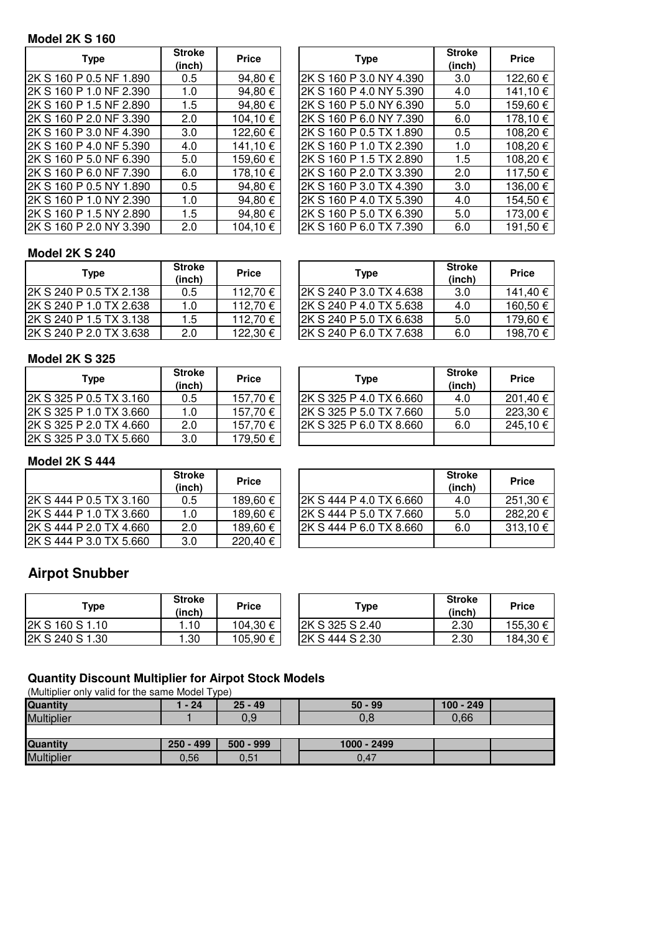## **Model 2K S 160**

| <b>Type</b>             | <b>Stroke</b><br>(inch) | <b>Price</b> | <b>Type</b>              | <b>Stroke</b><br>(inch) | <b>Price</b> |
|-------------------------|-------------------------|--------------|--------------------------|-------------------------|--------------|
| 2K S 160 P 0.5 NF 1.890 | 0.5                     | 94,80 €      | 2K S 160 P 3.0 NY 4.390  | 3.0                     | 122,60€      |
| 2K S 160 P 1.0 NF 2.390 | 1.0                     | 94,80 €      | 2K S 160 P 4.0 NY 5.390  | 4.0                     | 141,10€      |
| 2K S 160 P 1.5 NF 2.890 | 1.5                     | 94,80 €      | 2K S 160 P 5.0 NY 6.390  | 5.0                     | 159,60€      |
| 2K S 160 P 2.0 NF 3.390 | 2.0                     | 104,10 €     | 2K S 160 P 6.0 NY 7.390  | 6.0                     | 178,10€      |
| 2K S 160 P 3.0 NF 4.390 | 3.0                     | 122,60 €     | 2K S 160 P 0.5 TX 1.890  | 0.5                     | 108,20€      |
| 2K S 160 P 4.0 NF 5.390 | 4.0                     | 141,10 €     | 2K S 160 P 1.0 TX 2.390  | 1.0                     | 108,20€      |
| 2K S 160 P 5.0 NF 6.390 | 5.0                     | 159,60 €     | I2K S 160 P 1.5 TX 2.890 | 1.5                     | 108,20€      |
| 2K S 160 P 6.0 NF 7.390 | 6.0                     | 178,10 €     | l2K S 160 P 2.0 TX 3.390 | 2.0                     | 117,50€      |
| 2K S 160 P 0.5 NY 1.890 | 0.5                     | 94,80 €      | 2K S 160 P 3.0 TX 4.390  | 3.0                     | 136,00€      |
| 2K S 160 P 1.0 NY 2.390 | 1.0                     | 94,80 €      | 2K S 160 P 4.0 TX 5.390  | 4.0                     | 154,50€      |
| 2K S 160 P 1.5 NY 2.890 | 1.5                     | 94,80 €      | 2K S 160 P 5.0 TX 6.390  | 5.0                     | 173,00 €     |
| 2K S 160 P 2.0 NY 3.390 | 2.0                     | 104,10€      | 2K S 160 P 6.0 TX 7.390  | 6.0                     | 191,50€      |

| <b>Stroke</b><br>(inch) | <b>Price</b> | <b>Type</b>             | <b>Stroke</b><br>(inch) | <b>Price</b> |
|-------------------------|--------------|-------------------------|-------------------------|--------------|
| 0.5                     | 94,80 €      | 2K S 160 P 3.0 NY 4.390 | 3.0                     | 122,60 €     |
| 1.0                     | 94,80€       | 2K S 160 P 4.0 NY 5.390 | 4.0                     | 141,10 €     |
| 1.5                     | 94,80 €      | 2K S 160 P 5.0 NY 6.390 | 5.0                     | 159,60€      |
| 2.0                     | 104,10 €     | 2K S 160 P 6.0 NY 7.390 | 6.0                     | 178,10 €     |
| 3.0                     | 122,60 €     | 2K S 160 P 0.5 TX 1.890 | 0.5                     | 108,20€      |
| 4.0                     | 141,10 €     | 2K S 160 P 1.0 TX 2.390 | 1.0                     | 108,20€      |
| 5.0                     | 159,60 €     | 2K S 160 P 1.5 TX 2.890 | 1.5                     | 108,20€      |
| 6.0                     | 178,10 €     | 2K S 160 P 2.0 TX 3.390 | 2.0                     | 117,50 €     |
| 0.5                     | 94,80 €      | 2K S 160 P 3.0 TX 4.390 | 3.0                     | 136,00 €     |
| 1.0                     | 94,80€       | 2K S 160 P 4.0 TX 5.390 | 4.0                     | 154,50€      |
| 1.5                     | 94,80 €      | 2K S 160 P 5.0 TX 6.390 | 5.0                     | 173,00 €     |
| 2.0                     | 104,10 €     | 2K S 160 P 6.0 TX 7.390 | 6.0                     | 191,50 €     |

### **Model 2K S 240**

| Type                    | <b>Stroke</b><br>(inch) | <b>Price</b> | <b>Type</b>              | <b>Stroke</b><br>(inch) | <b>Price</b> |
|-------------------------|-------------------------|--------------|--------------------------|-------------------------|--------------|
| 2K S 240 P 0.5 TX 2.138 | 0.5                     | 112,70€      | I2K S 240 P 3.0 TX 4.638 | 3.0                     | 141.40 €     |
| 2K S 240 P 1.0 TX 2.638 | 1.0                     | 112,70 €     | 2K S 240 P 4.0 TX 5.638  | 4.0                     | 160,50 €     |
| 2K S 240 P 1.5 TX 3.138 | 1.5                     | 112,70 €     | 2K S 240 P 5.0 TX 6.638  | 5.0                     | 179,60 €     |
| 2K S 240 P 2.0 TX 3.638 | 2.0                     | 122,30 €     | 2K S 240 P 6.0 TX 7.638  | 6.0                     | 198,70 €     |
|                         |                         |              |                          |                         |              |

## **Model 2K S 325**

| Type                    | <b>Stroke</b><br>(inch) | <b>Price</b> | <b>Type</b>             | <b>Stroke</b><br>(inch) | <b>Price</b> |
|-------------------------|-------------------------|--------------|-------------------------|-------------------------|--------------|
| 2K S 325 P 0.5 TX 3.160 | 0.5                     | 157.70 €     | 2K S 325 P 4.0 TX 6.660 | 4.0                     | 201,40 €     |
| 2K S 325 P 1.0 TX 3.660 | 1.0                     | 157.70 €     | 2K S 325 P 5.0 TX 7.660 | 5.0                     | 223,30€      |
| 2K S 325 P 2.0 TX 4.660 | 2.0                     | 157.70 €     | 2K S 325 P 6.0 TX 8.660 | 6.0                     | 245,10€      |
| 2K S 325 P 3.0 TX 5.660 | 3.0                     | 179,50 €     |                         |                         |              |

| Type                    | <b>Stroke</b><br>$11 - 11$ | <b>Price</b>     |
|-------------------------|----------------------------|------------------|
|                         |                            |                  |
| 2K S 240 P 6.0 TX 7.638 | 6.0                        | 198,70 €         |
| 2K S 240 P 5.0 TX 6.638 | 5.0                        | 179,60 €         |
| 2K S 240 P 4.0 TX 5.638 | 4.0                        | 160,50 €         |
| 0-טעט.די או טייט וראש   | v.v                        | $J \cup T$ , $T$ |

| Stroke<br>(inch) | <b>Price</b> | <b>Type</b>              | <b>Stroke</b><br>(inch) | <b>Price</b> |
|------------------|--------------|--------------------------|-------------------------|--------------|
| 0.5              | 157,70 €     | 2K S 325 P 4.0 TX 6.660  | 4.0                     | 201,40 €     |
| 1.0              | 157.70 €     | I2K S 325 P 5.0 TX 7.660 | 5.0                     | 223,30 €     |
| 2.0              | 157,70 €     | I2K S 325 P 6.0 TX 8.660 | 6.0                     | 245,10€      |
| 3.0              | 179,50 €     |                          |                         |              |

## **Model 2K S 444**

|                         | <b>Stroke</b><br>(inch) | <b>Price</b> |                         | <b>Stroke</b><br>(inch) | <b>Price</b> |
|-------------------------|-------------------------|--------------|-------------------------|-------------------------|--------------|
| 2K S 444 P 0.5 TX 3.160 | 0.5                     | 189,60€      | 2K S 444 P 4.0 TX 6.660 | 4.0                     | 251,30 €     |
| 2K S 444 P 1.0 TX 3.660 | 1.0                     | 189,60 €     | 2K S 444 P 5.0 TX 7.660 | 5.0                     | 282.20€      |
| 2K S 444 P 2.0 TX 4.660 | 2.0                     | 189.60 €     | 2K S 444 P 6.0 TX 8.660 | 6.0                     | 313,10€      |
| 2K S 444 P 3.0 TX 5.660 | 3.0                     | 220,40 €     |                         |                         |              |

| Stroke<br>(inch) | <b>Price</b> |                         | <b>Stroke</b><br>(inch) | <b>Price</b> |
|------------------|--------------|-------------------------|-------------------------|--------------|
| 0.5              | 189,60 €     | 2K S 444 P 4.0 TX 6.660 | 4.0                     | 251,30 €     |
| 1.0              | 189,60 €     | 2K S 444 P 5.0 TX 7.660 | 5.0                     | 282,20€      |
| 2.0              | 189,60 €     | 2K S 444 P 6.0 TX 8.660 | 6.0                     | 313,10 €     |
| 3.0              | 220.40 €     |                         |                         |              |

## **Airpot Snubber**

| Type            | <b>Stroke</b><br>(inch) | <b>Price</b> | Type            | <b>Stroke</b><br>(inch) | <b>Price</b> |
|-----------------|-------------------------|--------------|-----------------|-------------------------|--------------|
| 2K S 160 S 1.10 | . 10                    | 104,30 €     | 2K S 325 S 2.40 | 2.30                    | 155,30 €     |
| 2K S 240 S 1.30 | 1.30                    | 105.90 €     | 2K S 444 S 2.30 | 2.30                    | 184,30 €     |

## **Quantity Discount Multiplier for Airpot Stock Models**

(Multiplier only valid for the same Model Type)

| Quantity          | 24 - ا      | $25 - 49$   | $50 - 99$   | $100 - 249$ |  |
|-------------------|-------------|-------------|-------------|-------------|--|
| <b>Multiplier</b> |             | 0.9         | 0,8         | 0.66        |  |
|                   |             |             |             |             |  |
| <b>Quantity</b>   | $250 - 499$ | $500 - 999$ | 1000 - 2499 |             |  |
| <b>Multiplier</b> | 0,56        | 0,51        | 0,47        |             |  |